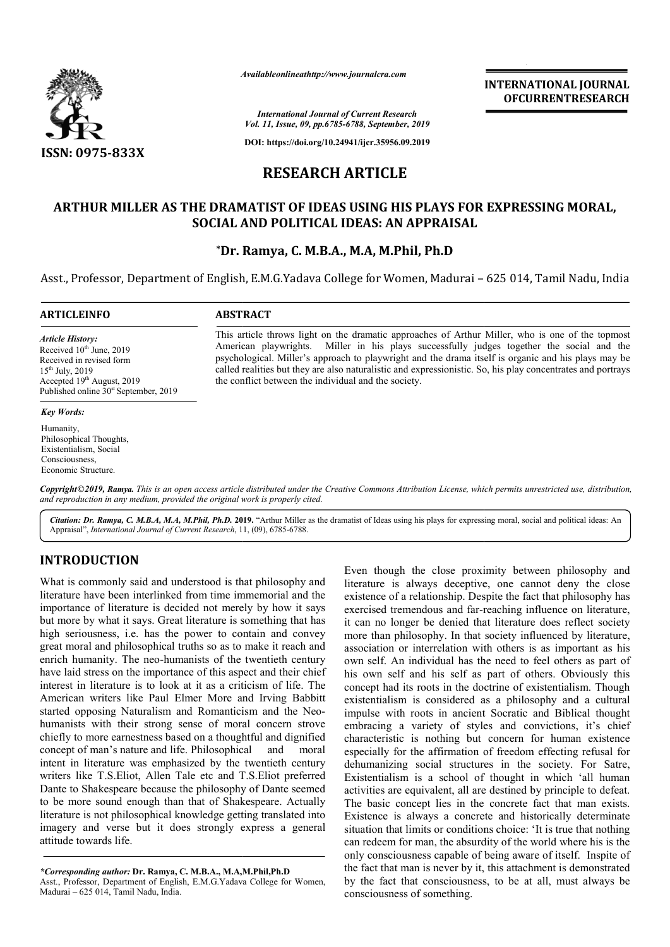

*Availableonlineathttp://www.journal Availableonlineathttp://www.journalcra.com*

*International Journal of Current Research Vol. 11, Issue, 09, pp.6785-6788, September, 2019*

**DOI: https://doi.org/10.24941/ijcr.35956.09.2019**

# **RESEARCH ARTICLE**

### **ARTHUR MILLER AS THE DRAMATIST OF IDEAS USING HIS PLAYS FOR EXPRESSING MORAL, MILLER AS SOCIAL AND POLITICAL IDEAS: AN APPRAISAL**

### **\*Dr. Ramya, C. M.B.A Dr. M.B.A., M.A, M.Phil, Ph.D**

Asst., Professor, Department of English, E.M.G.Yadava College for Women, Madurai – 625 014, Tamil Nadu, India

| <b>ARTICLEINFO</b>                                                                                                                                                                             | <b>ABSTRACT</b>                                                                                                                                                                                                                                                                                                                                                                                                                                                             |
|------------------------------------------------------------------------------------------------------------------------------------------------------------------------------------------------|-----------------------------------------------------------------------------------------------------------------------------------------------------------------------------------------------------------------------------------------------------------------------------------------------------------------------------------------------------------------------------------------------------------------------------------------------------------------------------|
| <b>Article History:</b><br>Received $10th$ June, 2019<br>Received in revised form<br>$15^{th}$ July, 2019<br>Accepted $19th$ August, 2019<br>Published online 30 <sup>st</sup> September, 2019 | This article throws light on the dramatic approaches of Arthur Miller, who is one of the topmost<br>American playwrights. Miller in his plays successfully judges together the social and the<br>psychological. Miller's approach to playwright and the drama itself is organic and his plays may be<br>called realities but they are also naturalistic and expressionistic. So, his play concentrates and portrays<br>the conflict between the individual and the society. |
| <b>Key Words:</b>                                                                                                                                                                              |                                                                                                                                                                                                                                                                                                                                                                                                                                                                             |

Copyright©2019, Ramya. This is an open access article distributed under the Creative Commons Attribution License, which permits unrestricted use, distribution, *and reproduction in any medium, provided the original work is properly cited.* Economic Structure.

Citation: Dr. Ramya, C. M.B.A, M.A, M.Phil, Ph.D. 2019. "Arthur Miller as the dramatist of Ideas using his plays for expressing moral, social and political ideas: An Appraisal", *International Journal of Current Research*, 11, (09), 6785-6788.

## **INTRODUCTION**

Humanity,

Philosophical Thoughts, Existentialism, Social Consciousness,

What is commonly said and understood is that philosophy and literature have been interlinked from time immemorial and the importance of literature is decided not merely by how it says but more by what it says. Great literature is something that has high seriousness, i.e. has the power to contain and convey great moral and philosophical truths so as to make it reach and enrich humanity. The neo-humanists of the twentieth century have laid stress on the importance of this aspect and their chief interest in literature is to look at it as a criticism of life. The American writers like Paul Elmer More and Irving Babbitt high seriousness, i.e. has the power to contain and convey<br>great moral and philosophical truths so as to make it reach and<br>enrich humanity. The neo-humanists of the twentieth century<br>have laid stress on the importance of t humanists with their strong sense of moral concern strove chiefly to more earnestness based on a thoughtful and dig dignified concept of man's nature and life. Philosophical and moral intent in literature was emphasized by the twentieth century writers like T.S.Eliot, Allen Tale etc and T.S.Eliot preferred Dante to Shakespeare because the philosophy of Dante seemed to be more sound enough than that of Shakespeare. Actually literature is not philosophical knowledge getting translated into imagery and verse but it does strongly express a general attitude towards life.

*\*Corresponding author:* **Dr. Ramya, C. M.B.A., M.A,M. M.A,M.Phil,Ph.D** Asst., Professor, Department of English, E.M.G.Yadava College for Women, Madurai – 625 014, Tamil Nadu, India.

Even though the close proximity between philosophy and literature is always deceptive, one cannot deny the close existence of a relationship. Despite the fact that philosophy has exercised tremendous and far-reaching influence on literature, it can no longer be denied that literature does reflect society existence of a relationship. Despite the fact that philosophy has exercised tremendous and far-reaching influence on literature, it can no longer be denied that literature does reflect society more than philosophy. In that association or interrelation with others is as important as his own self. An individual has the need to feel others as part of his own self and his self as part of others. Obviously this concept had its roots in the doctrine of existentialism. Though existentialism is considered as a philosophy and a cultural impulse with roots in ancient Socratic and Biblical thought embracing a variety of styles and convictions, it's chief characteristic is nothing but concern for human existence especially for the affirmation of freedom effecting refusal for dehumanizing social structures in the society. For Satre, Existentialism is a school of thought in which 'all human activities are equivalent, all are destined by principle to defeat. The basic concept lies in the concrete fact that man exists. Existence is always a concrete and historically determinate situation that limits or conditions choice: 'It is true that nothing can redeem for man, the absurdity of the world where his is the only consciousness capable of being aware of itself. Inspite of the fact that man is never by it, this attachment is demonstrated by the fact that consciousness, to be at all, must always be consciousness of something. n or interrelation with others is as important as his<br>An individual has the need to feel others as part of<br>self and his self as part of others. Obviously this<br>ad its roots in the doctrine of existentialism. Though ialism is considered as a philosophy and a cultural<br>with roots in ancient Socratic and Biblical thought<br>ng a variety of styles and convictions, it's chief<br>ristic is nothing but concern for human existence<br>ly for the affirm **INTERNATIONAL JOURNAL CONTABATE CONTABATE CONTROL CONTROL CONTROL CONTROL CONTROL CONTROL CONTROL CONTROL CONTROL CONTROL CONTROL CONTROL CONTROL CONTROL CONTROL CONTROL CONTROL CONTROL CONTROL CONTROL CONTROL CONTROL CO**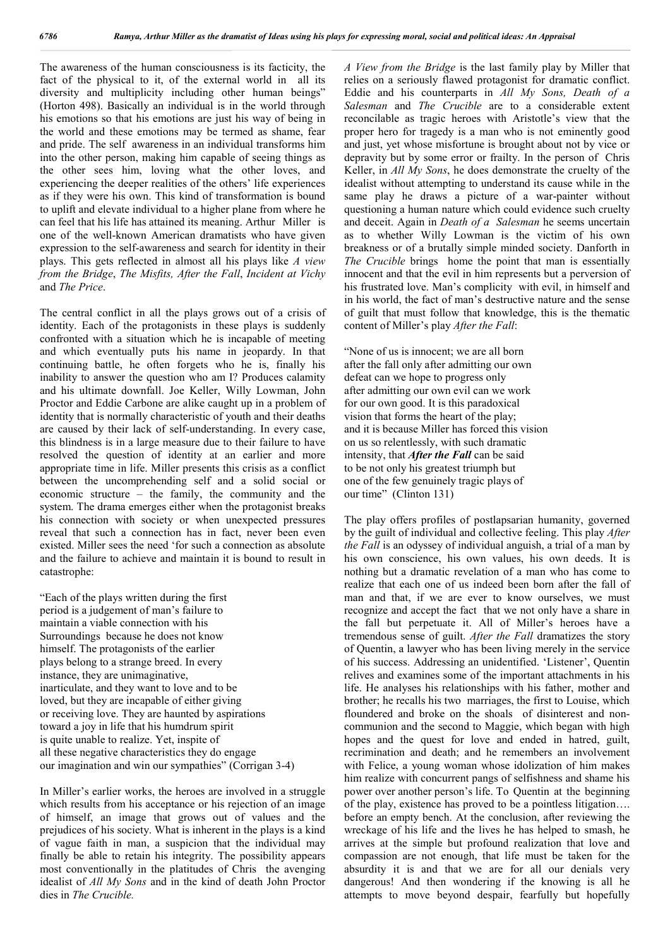The awareness of the human consciousness is its facticity, the fact of the physical to it, of the external world in all its diversity and multiplicity including other human beings" (Horton 498). Basically an individual is in the world through his emotions so that his emotions are just his way of being in the world and these emotions may be termed as shame, fear and pride. The self awareness in an individual transforms him into the other person, making him capable of seeing things as the other sees him, loving what the other loves, and experiencing the deeper realities of the others' life experiences as if they were his own. This kind of transformation is bound to uplift and elevate individual to a higher plane from where he can feel that his life has attained its meaning. Arthur Miller is one of the well-known American dramatists who have given expression to the self-awareness and search for identity in their plays. This gets reflected in almost all his plays like *A view from the Bridge*, *The Misfits, After the Fall*, *Incident at Vichy* and *The Price*.

The central conflict in all the plays grows out of a crisis of identity. Each of the protagonists in these plays is suddenly confronted with a situation which he is incapable of meeting and which eventually puts his name in jeopardy. In that continuing battle, he often forgets who he is, finally his inability to answer the question who am I? Produces calamity and his ultimate downfall. Joe Keller, Willy Lowman, John Proctor and Eddie Carbone are alike caught up in a problem of identity that is normally characteristic of youth and their deaths are caused by their lack of self-understanding. In every case, this blindness is in a large measure due to their failure to have resolved the question of identity at an earlier and more appropriate time in life. Miller presents this crisis as a conflict between the uncomprehending self and a solid social or economic structure – the family, the community and the system. The drama emerges either when the protagonist breaks his connection with society or when unexpected pressures reveal that such a connection has in fact, never been even existed. Miller sees the need 'for such a connection as absolute and the failure to achieve and maintain it is bound to result in catastrophe:

"Each of the plays written during the first period is a judgement of man's failure to maintain a viable connection with his Surroundings because he does not know himself. The protagonists of the earlier plays belong to a strange breed. In every instance, they are unimaginative, inarticulate, and they want to love and to be loved, but they are incapable of either giving or receiving love. They are haunted by aspirations toward a joy in life that his humdrum spirit is quite unable to realize. Yet, inspite of all these negative characteristics they do engage our imagination and win our sympathies" (Corrigan 3-4)

In Miller's earlier works, the heroes are involved in a struggle which results from his acceptance or his rejection of an image of himself, an image that grows out of values and the prejudices of his society. What is inherent in the plays is a kind of vague faith in man, a suspicion that the individual may finally be able to retain his integrity. The possibility appears most conventionally in the platitudes of Chris the avenging idealist of *All My Sons* and in the kind of death John Proctor dies in *The Crucible.* 

*A View from the Bridge* is the last family play by Miller that relies on a seriously flawed protagonist for dramatic conflict. Eddie and his counterparts in *All My Sons, Death of a Salesman* and *The Crucible* are to a considerable extent reconcilable as tragic heroes with Aristotle's view that the proper hero for tragedy is a man who is not eminently good and just, yet whose misfortune is brought about not by vice or depravity but by some error or frailty. In the person of Chris Keller, in *All My Sons*, he does demonstrate the cruelty of the idealist without attempting to understand its cause while in the same play he draws a picture of a war-painter without questioning a human nature which could evidence such cruelty and deceit. Again in *Death of a Salesman* he seems uncertain as to whether Willy Lowman is the victim of his own breakness or of a brutally simple minded society. Danforth in *The Crucible* brings home the point that man is essentially innocent and that the evil in him represents but a perversion of his frustrated love. Man's complicity with evil, in himself and in his world, the fact of man's destructive nature and the sense of guilt that must follow that knowledge, this is the thematic content of Miller's play *After the Fall*:

"None of us is innocent; we are all born after the fall only after admitting our own defeat can we hope to progress only after admitting our own evil can we work for our own good. It is this paradoxical vision that forms the heart of the play; and it is because Miller has forced this vision on us so relentlessly, with such dramatic intensity, that *After the Fall* can be said to be not only his greatest triumph but one of the few genuinely tragic plays of our time" (Clinton 131)

The play offers profiles of postlapsarian humanity, governed by the guilt of individual and collective feeling. This play *After the Fall* is an odyssey of individual anguish, a trial of a man by his own conscience, his own values, his own deeds. It is nothing but a dramatic revelation of a man who has come to realize that each one of us indeed been born after the fall of man and that, if we are ever to know ourselves, we must recognize and accept the fact that we not only have a share in the fall but perpetuate it. All of Miller's heroes have a tremendous sense of guilt. *After the Fall* dramatizes the story of Quentin, a lawyer who has been living merely in the service of his success. Addressing an unidentified. 'Listener', Quentin relives and examines some of the important attachments in his life. He analyses his relationships with his father, mother and brother; he recalls his two marriages, the first to Louise, which floundered and broke on the shoals of disinterest and noncommunion and the second to Maggie, which began with high hopes and the quest for love and ended in hatred, guilt, recrimination and death; and he remembers an involvement with Felice, a young woman whose idolization of him makes him realize with concurrent pangs of selfishness and shame his power over another person's life. To Quentin at the beginning of the play, existence has proved to be a pointless litigation…. before an empty bench. At the conclusion, after reviewing the wreckage of his life and the lives he has helped to smash, he arrives at the simple but profound realization that love and compassion are not enough, that life must be taken for the absurdity it is and that we are for all our denials very dangerous! And then wondering if the knowing is all he attempts to move beyond despair, fearfully but hopefully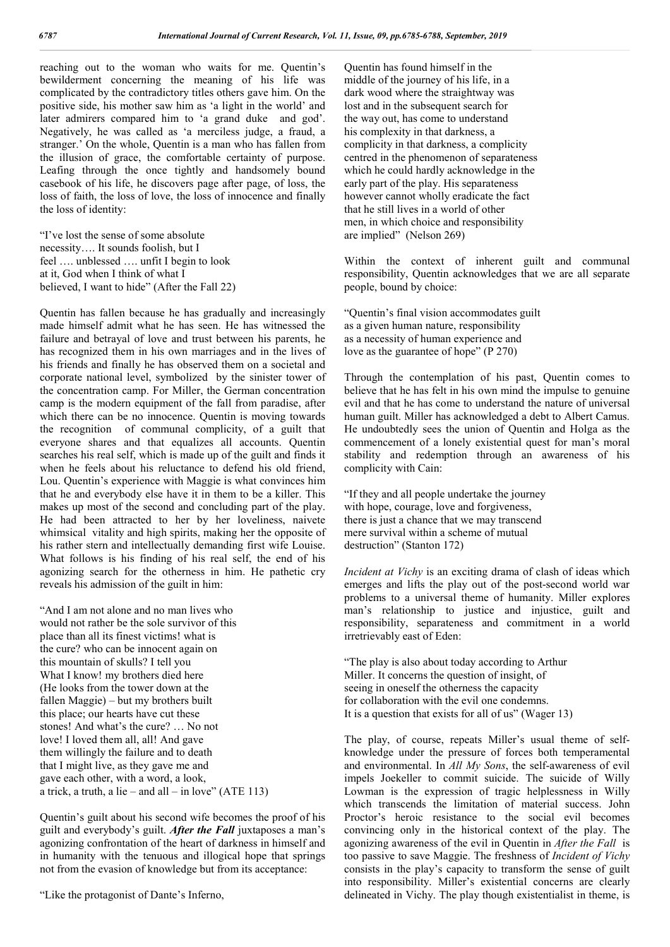reaching out to the woman who waits for me. Quentin's bewilderment concerning the meaning of his life was complicated by the contradictory titles others gave him. On the positive side, his mother saw him as 'a light in the world' and later admirers compared him to 'a grand duke and god'. Negatively, he was called as 'a merciless judge, a fraud, a stranger.' On the whole, Quentin is a man who has fallen from the illusion of grace, the comfortable certainty of purpose. Leafing through the once tightly and handsomely bound casebook of his life, he discovers page after page, of loss, the loss of faith, the loss of love, the loss of innocence and finally the loss of identity:

"I've lost the sense of some absolute necessity…. It sounds foolish, but I feel …. unblessed …. unfit I begin to look at it, God when I think of what I believed, I want to hide" (After the Fall 22)

Quentin has fallen because he has gradually and increasingly made himself admit what he has seen. He has witnessed the failure and betrayal of love and trust between his parents, he has recognized them in his own marriages and in the lives of his friends and finally he has observed them on a societal and corporate national level, symbolized by the sinister tower of the concentration camp. For Miller, the German concentration camp is the modern equipment of the fall from paradise, after which there can be no innocence. Quentin is moving towards the recognition of communal complicity, of a guilt that everyone shares and that equalizes all accounts. Quentin searches his real self, which is made up of the guilt and finds it when he feels about his reluctance to defend his old friend, Lou. Quentin's experience with Maggie is what convinces him that he and everybody else have it in them to be a killer. This makes up most of the second and concluding part of the play. He had been attracted to her by her loveliness, naivete whimsical vitality and high spirits, making her the opposite of his rather stern and intellectually demanding first wife Louise. What follows is his finding of his real self, the end of his agonizing search for the otherness in him. He pathetic cry reveals his admission of the guilt in him:

"And I am not alone and no man lives who would not rather be the sole survivor of this place than all its finest victims! what is the cure? who can be innocent again on this mountain of skulls? I tell you What I know! my brothers died here (He looks from the tower down at the fallen Maggie) – but my brothers built this place; our hearts have cut these stones! And what's the cure? … No not love! I loved them all, all! And gave them willingly the failure and to death that I might live, as they gave me and gave each other, with a word, a look, a trick, a truth, a lie – and all – in love"  $(ATE 113)$ 

Quentin's guilt about his second wife becomes the proof of his guilt and everybody's guilt. *After the Fall* juxtaposes a man's agonizing confrontation of the heart of darkness in himself and in humanity with the tenuous and illogical hope that springs not from the evasion of knowledge but from its acceptance:

"Like the protagonist of Dante's Inferno,

Quentin has found himself in the middle of the journey of his life, in a dark wood where the straightway was lost and in the subsequent search for the way out, has come to understand his complexity in that darkness, a complicity in that darkness, a complicity centred in the phenomenon of separateness which he could hardly acknowledge in the early part of the play. His separateness however cannot wholly eradicate the fact that he still lives in a world of other men, in which choice and responsibility are implied" (Nelson 269)

Within the context of inherent guilt and communal responsibility, Quentin acknowledges that we are all separate people, bound by choice:

"Quentin's final vision accommodates guilt as a given human nature, responsibility as a necessity of human experience and love as the guarantee of hope" (P 270)

Through the contemplation of his past, Quentin comes to believe that he has felt in his own mind the impulse to genuine evil and that he has come to understand the nature of universal human guilt. Miller has acknowledged a debt to Albert Camus. He undoubtedly sees the union of Quentin and Holga as the commencement of a lonely existential quest for man's moral stability and redemption through an awareness of his complicity with Cain:

"If they and all people undertake the journey with hope, courage, love and forgiveness, there is just a chance that we may transcend mere survival within a scheme of mutual destruction" (Stanton 172)

*Incident at Vichy* is an exciting drama of clash of ideas which emerges and lifts the play out of the post-second world war problems to a universal theme of humanity. Miller explores man's relationship to justice and injustice, guilt and responsibility, separateness and commitment in a world irretrievably east of Eden:

"The play is also about today according to Arthur Miller. It concerns the question of insight, of seeing in oneself the otherness the capacity for collaboration with the evil one condemns. It is a question that exists for all of us" (Wager 13)

The play, of course, repeats Miller's usual theme of selfknowledge under the pressure of forces both temperamental and environmental. In *All My Sons*, the self-awareness of evil impels Joekeller to commit suicide. The suicide of Willy Lowman is the expression of tragic helplessness in Willy which transcends the limitation of material success. John Proctor's heroic resistance to the social evil becomes convincing only in the historical context of the play. The agonizing awareness of the evil in Quentin in *After the Fall* is too passive to save Maggie. The freshness of *Incident of Vichy* consists in the play's capacity to transform the sense of guilt into responsibility. Miller's existential concerns are clearly delineated in Vichy. The play though existentialist in theme, is